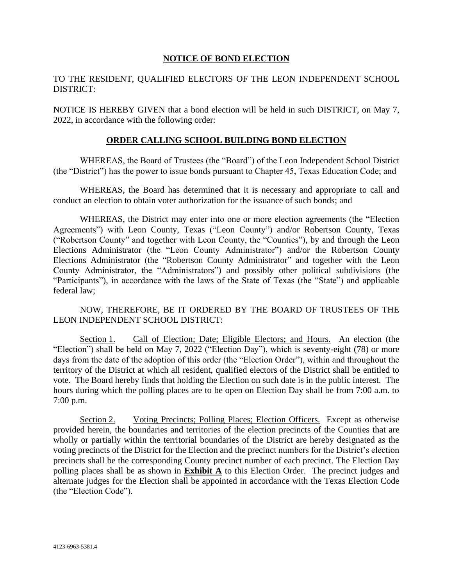#### **NOTICE OF BOND ELECTION**

### TO THE RESIDENT, QUALIFIED ELECTORS OF THE LEON INDEPENDENT SCHOOL DISTRICT:

NOTICE IS HEREBY GIVEN that a bond election will be held in such DISTRICT, on May 7, 2022, in accordance with the following order:

#### **ORDER CALLING SCHOOL BUILDING BOND ELECTION**

WHEREAS, the Board of Trustees (the "Board") of the Leon Independent School District (the "District") has the power to issue bonds pursuant to Chapter 45, Texas Education Code; and

WHEREAS, the Board has determined that it is necessary and appropriate to call and conduct an election to obtain voter authorization for the issuance of such bonds; and

WHEREAS, the District may enter into one or more election agreements (the "Election Agreements") with Leon County, Texas ("Leon County") and/or Robertson County, Texas ("Robertson County" and together with Leon County, the "Counties"), by and through the Leon Elections Administrator (the "Leon County Administrator") and/or the Robertson County Elections Administrator (the "Robertson County Administrator" and together with the Leon County Administrator, the "Administrators") and possibly other political subdivisions (the "Participants"), in accordance with the laws of the State of Texas (the "State") and applicable federal law;

NOW, THEREFORE, BE IT ORDERED BY THE BOARD OF TRUSTEES OF THE LEON INDEPENDENT SCHOOL DISTRICT:

Section 1. Call of Election; Date; Eligible Electors; and Hours. An election (the "Election") shall be held on May 7, 2022 ("Election Day"), which is seventy-eight (78) or more days from the date of the adoption of this order (the "Election Order"), within and throughout the territory of the District at which all resident, qualified electors of the District shall be entitled to vote. The Board hereby finds that holding the Election on such date is in the public interest. The hours during which the polling places are to be open on Election Day shall be from 7:00 a.m. to 7:00 p.m.

Section 2. Voting Precincts; Polling Places; Election Officers. Except as otherwise provided herein, the boundaries and territories of the election precincts of the Counties that are wholly or partially within the territorial boundaries of the District are hereby designated as the voting precincts of the District for the Election and the precinct numbers for the District's election precincts shall be the corresponding County precinct number of each precinct. The Election Day polling places shall be as shown in **Exhibit A** to this Election Order. The precinct judges and alternate judges for the Election shall be appointed in accordance with the Texas Election Code (the "Election Code").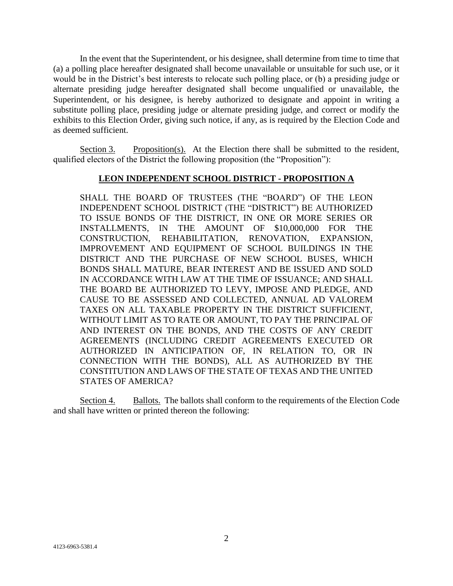In the event that the Superintendent, or his designee, shall determine from time to time that (a) a polling place hereafter designated shall become unavailable or unsuitable for such use, or it would be in the District's best interests to relocate such polling place, or (b) a presiding judge or alternate presiding judge hereafter designated shall become unqualified or unavailable, the Superintendent, or his designee, is hereby authorized to designate and appoint in writing a substitute polling place, presiding judge or alternate presiding judge, and correct or modify the exhibits to this Election Order, giving such notice, if any, as is required by the Election Code and as deemed sufficient.

Section 3. Proposition(s). At the Election there shall be submitted to the resident, qualified electors of the District the following proposition (the "Proposition"):

### **LEON INDEPENDENT SCHOOL DISTRICT - PROPOSITION A**

SHALL THE BOARD OF TRUSTEES (THE "BOARD") OF THE LEON INDEPENDENT SCHOOL DISTRICT (THE "DISTRICT") BE AUTHORIZED TO ISSUE BONDS OF THE DISTRICT, IN ONE OR MORE SERIES OR INSTALLMENTS, IN THE AMOUNT OF \$10,000,000 FOR THE CONSTRUCTION, REHABILITATION, RENOVATION, EXPANSION, IMPROVEMENT AND EQUIPMENT OF SCHOOL BUILDINGS IN THE DISTRICT AND THE PURCHASE OF NEW SCHOOL BUSES, WHICH BONDS SHALL MATURE, BEAR INTEREST AND BE ISSUED AND SOLD IN ACCORDANCE WITH LAW AT THE TIME OF ISSUANCE; AND SHALL THE BOARD BE AUTHORIZED TO LEVY, IMPOSE AND PLEDGE, AND CAUSE TO BE ASSESSED AND COLLECTED, ANNUAL AD VALOREM TAXES ON ALL TAXABLE PROPERTY IN THE DISTRICT SUFFICIENT, WITHOUT LIMIT AS TO RATE OR AMOUNT, TO PAY THE PRINCIPAL OF AND INTEREST ON THE BONDS, AND THE COSTS OF ANY CREDIT AGREEMENTS (INCLUDING CREDIT AGREEMENTS EXECUTED OR AUTHORIZED IN ANTICIPATION OF, IN RELATION TO, OR IN CONNECTION WITH THE BONDS), ALL AS AUTHORIZED BY THE CONSTITUTION AND LAWS OF THE STATE OF TEXAS AND THE UNITED STATES OF AMERICA?

Section 4. Ballots. The ballots shall conform to the requirements of the Election Code and shall have written or printed thereon the following: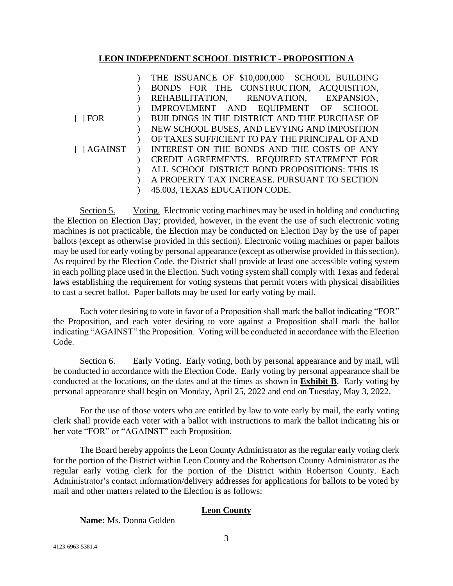### **LEON INDEPENDENT SCHOOL DISTRICT - PROPOSITION A**

|                    | THE ISSUANCE OF \$10,000,000 SCHOOL BUILDING    |
|--------------------|-------------------------------------------------|
|                    | BONDS FOR THE CONSTRUCTION, ACQUISITION,        |
|                    | REHABILITATION, RENOVATION, EXPANSION,          |
|                    | IMPROVEMENT AND EQUIPMENT OF SCHOOL             |
| $\lceil$   FOR     | BUILDINGS IN THE DISTRICT AND THE PURCHASE OF   |
|                    | NEW SCHOOL BUSES, AND LEVYING AND IMPOSITION    |
|                    | OF TAXES SUFFICIENT TO PAY THE PRINCIPAL OF AND |
| $\lceil$   AGAINST | INTEREST ON THE BONDS AND THE COSTS OF ANY      |
|                    | CREDIT AGREEMENTS. REQUIRED STATEMENT FOR       |
|                    | ALL SCHOOL DISTRICT BOND PROPOSITIONS: THIS IS  |
|                    | A PROPERTY TAX INCREASE. PURSUANT TO SECTION    |
|                    | 45.003, TEXAS EDUCATION CODE.                   |

Section 5. Voting. Electronic voting machines may be used in holding and conducting the Election on Election Day; provided, however, in the event the use of such electronic voting machines is not practicable, the Election may be conducted on Election Day by the use of paper ballots (except as otherwise provided in this section). Electronic voting machines or paper ballots may be used for early voting by personal appearance (except as otherwise provided in this section). As required by the Election Code, the District shall provide at least one accessible voting system in each polling place used in the Election. Such voting system shall comply with Texas and federal laws establishing the requirement for voting systems that permit voters with physical disabilities to cast a secret ballot. Paper ballots may be used for early voting by mail.

Each voter desiring to vote in favor of a Proposition shall mark the ballot indicating "FOR" the Proposition, and each voter desiring to vote against a Proposition shall mark the ballot indicating "AGAINST" the Proposition. Voting will be conducted in accordance with the Election Code.

Section 6. Early Voting. Early voting, both by personal appearance and by mail, will be conducted in accordance with the Election Code. Early voting by personal appearance shall be conducted at the locations, on the dates and at the times as shown in **Exhibit B**. Early voting by personal appearance shall begin on Monday, April 25, 2022 and end on Tuesday, May 3, 2022.

For the use of those voters who are entitled by law to vote early by mail, the early voting clerk shall provide each voter with a ballot with instructions to mark the ballot indicating his or her vote "FOR" or "AGAINST" each Proposition.

The Board hereby appoints the Leon County Administrator as the regular early voting clerk for the portion of the District within Leon County and the Robertson County Administrator as the regular early voting clerk for the portion of the District within Robertson County. Each Administrator's contact information/delivery addresses for applications for ballots to be voted by mail and other matters related to the Election is as follows:

## **Leon County**

**Name:** Ms. Donna Golden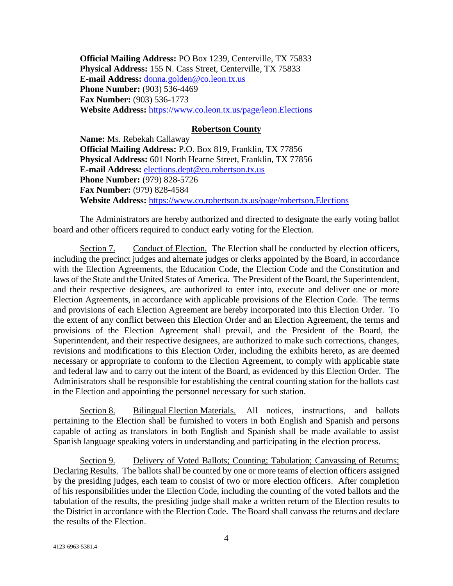**Official Mailing Address:** PO Box 1239, Centerville, TX 75833 **Physical Address:** 155 N. Cass Street, Centerville, TX 75833 **E-mail Address:** [donna.golden@co.leon.tx.us](mailto:donna.golden@co.leon.tx.us) **Phone Number: (903) 536-4469 Fax Number:** (903) 536-1773 **Website Address:** <https://www.co.leon.tx.us/page/leon.Elections>

#### **Robertson County**

**Name:** Ms. Rebekah Callaway **Official Mailing Address:** P.O. Box 819, Franklin, TX 77856 **Physical Address:** 601 North Hearne Street, Franklin, TX 77856 **E-mail Address:** [elections.dept@co.robertson.tx.us](mailto:elections.dept@co.robertson.tx.us) **Phone Number:** (979) 828-5726 **Fax Number:** (979) 828-4584 **Website Address:** <https://www.co.robertson.tx.us/page/robertson.Elections>

The Administrators are hereby authorized and directed to designate the early voting ballot board and other officers required to conduct early voting for the Election.

Section 7. Conduct of Election. The Election shall be conducted by election officers, including the precinct judges and alternate judges or clerks appointed by the Board, in accordance with the Election Agreements, the Education Code, the Election Code and the Constitution and laws of the State and the United States of America. The President of the Board, the Superintendent, and their respective designees, are authorized to enter into, execute and deliver one or more Election Agreements, in accordance with applicable provisions of the Election Code. The terms and provisions of each Election Agreement are hereby incorporated into this Election Order. To the extent of any conflict between this Election Order and an Election Agreement, the terms and provisions of the Election Agreement shall prevail, and the President of the Board, the Superintendent, and their respective designees, are authorized to make such corrections, changes, revisions and modifications to this Election Order, including the exhibits hereto, as are deemed necessary or appropriate to conform to the Election Agreement, to comply with applicable state and federal law and to carry out the intent of the Board, as evidenced by this Election Order. The Administrators shall be responsible for establishing the central counting station for the ballots cast in the Election and appointing the personnel necessary for such station.

Section 8. Bilingual Election Materials. All notices, instructions, and ballots pertaining to the Election shall be furnished to voters in both English and Spanish and persons capable of acting as translators in both English and Spanish shall be made available to assist Spanish language speaking voters in understanding and participating in the election process.

Section 9. Delivery of Voted Ballots; Counting; Tabulation; Canvassing of Returns; Declaring Results. The ballots shall be counted by one or more teams of election officers assigned by the presiding judges, each team to consist of two or more election officers. After completion of his responsibilities under the Election Code, including the counting of the voted ballots and the tabulation of the results, the presiding judge shall make a written return of the Election results to the District in accordance with the Election Code. The Board shall canvass the returns and declare the results of the Election.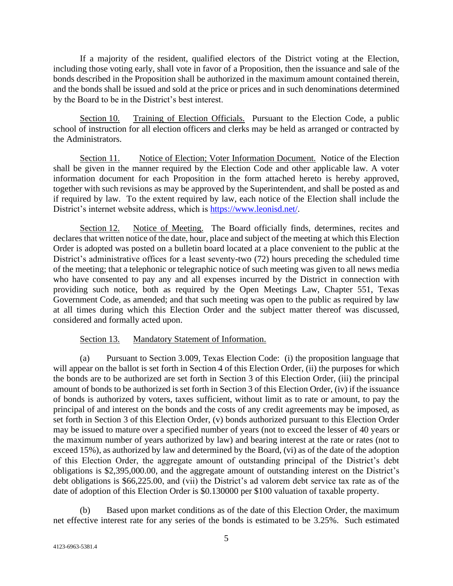If a majority of the resident, qualified electors of the District voting at the Election, including those voting early, shall vote in favor of a Proposition, then the issuance and sale of the bonds described in the Proposition shall be authorized in the maximum amount contained therein, and the bonds shall be issued and sold at the price or prices and in such denominations determined by the Board to be in the District's best interest.

Section 10. Training of Election Officials. Pursuant to the Election Code, a public school of instruction for all election officers and clerks may be held as arranged or contracted by the Administrators.

Section 11. Notice of Election; Voter Information Document. Notice of the Election shall be given in the manner required by the Election Code and other applicable law. A voter information document for each Proposition in the form attached hereto is hereby approved, together with such revisions as may be approved by the Superintendent, and shall be posted as and if required by law. To the extent required by law, each notice of the Election shall include the District's internet website address, which is [https://www.leonisd.net/.](https://www.leonisd.net/)

Section 12. Notice of Meeting. The Board officially finds, determines, recites and declares that written notice of the date, hour, place and subject of the meeting at which this Election Order is adopted was posted on a bulletin board located at a place convenient to the public at the District's administrative offices for a least seventy-two (72) hours preceding the scheduled time of the meeting; that a telephonic or telegraphic notice of such meeting was given to all news media who have consented to pay any and all expenses incurred by the District in connection with providing such notice, both as required by the Open Meetings Law, Chapter 551, Texas Government Code, as amended; and that such meeting was open to the public as required by law at all times during which this Election Order and the subject matter thereof was discussed, considered and formally acted upon.

#### Section 13. Mandatory Statement of Information.

(a) Pursuant to Section 3.009, Texas Election Code: (i) the proposition language that will appear on the ballot is set forth in Section 4 of this Election Order, (ii) the purposes for which the bonds are to be authorized are set forth in Section 3 of this Election Order, (iii) the principal amount of bonds to be authorized is set forth in Section 3 of this Election Order, (iv) if the issuance of bonds is authorized by voters, taxes sufficient, without limit as to rate or amount, to pay the principal of and interest on the bonds and the costs of any credit agreements may be imposed, as set forth in Section 3 of this Election Order, (v) bonds authorized pursuant to this Election Order may be issued to mature over a specified number of years (not to exceed the lesser of 40 years or the maximum number of years authorized by law) and bearing interest at the rate or rates (not to exceed 15%), as authorized by law and determined by the Board, (vi) as of the date of the adoption of this Election Order, the aggregate amount of outstanding principal of the District's debt obligations is \$2,395,000.00, and the aggregate amount of outstanding interest on the District's debt obligations is \$66,225.00, and (vii) the District's ad valorem debt service tax rate as of the date of adoption of this Election Order is \$0.130000 per \$100 valuation of taxable property.

(b) Based upon market conditions as of the date of this Election Order, the maximum net effective interest rate for any series of the bonds is estimated to be 3.25%. Such estimated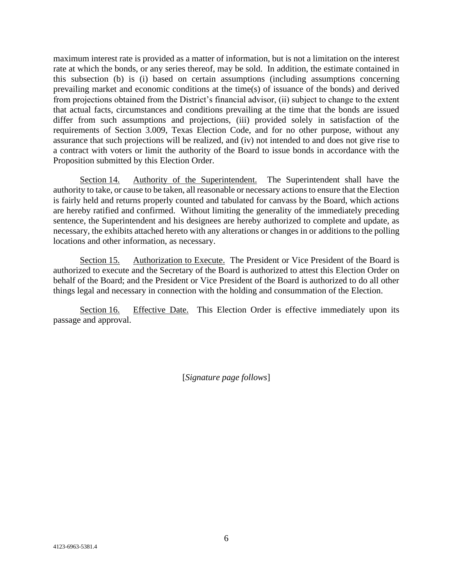maximum interest rate is provided as a matter of information, but is not a limitation on the interest rate at which the bonds, or any series thereof, may be sold. In addition, the estimate contained in this subsection (b) is (i) based on certain assumptions (including assumptions concerning prevailing market and economic conditions at the time(s) of issuance of the bonds) and derived from projections obtained from the District's financial advisor, (ii) subject to change to the extent that actual facts, circumstances and conditions prevailing at the time that the bonds are issued differ from such assumptions and projections, (iii) provided solely in satisfaction of the requirements of Section 3.009, Texas Election Code, and for no other purpose, without any assurance that such projections will be realized, and (iv) not intended to and does not give rise to a contract with voters or limit the authority of the Board to issue bonds in accordance with the Proposition submitted by this Election Order.

Section 14. Authority of the Superintendent. The Superintendent shall have the authority to take, or cause to be taken, all reasonable or necessary actions to ensure that the Election is fairly held and returns properly counted and tabulated for canvass by the Board, which actions are hereby ratified and confirmed. Without limiting the generality of the immediately preceding sentence, the Superintendent and his designees are hereby authorized to complete and update, as necessary, the exhibits attached hereto with any alterations or changes in or additions to the polling locations and other information, as necessary.

Section 15. Authorization to Execute. The President or Vice President of the Board is authorized to execute and the Secretary of the Board is authorized to attest this Election Order on behalf of the Board; and the President or Vice President of the Board is authorized to do all other things legal and necessary in connection with the holding and consummation of the Election.

Section 16. Effective Date. This Election Order is effective immediately upon its passage and approval.

[*Signature page follows*]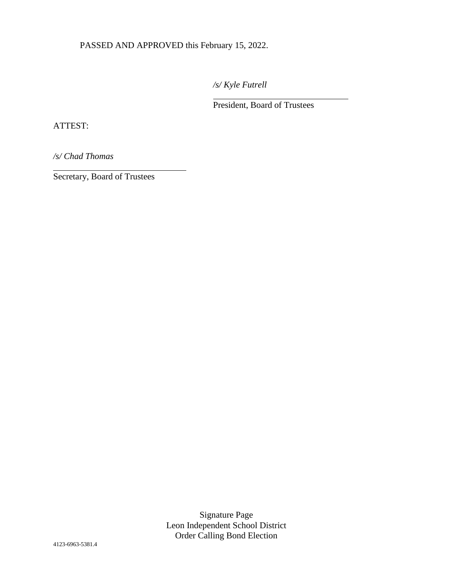PASSED AND APPROVED this February 15, 2022.

*/s/ Kyle Futrell*

 $\overline{a}$ 

President, Board of Trustees

ATTEST:

l

*/s/ Chad Thomas*

Secretary, Board of Trustees

Signature Page Leon Independent School District Order Calling Bond Election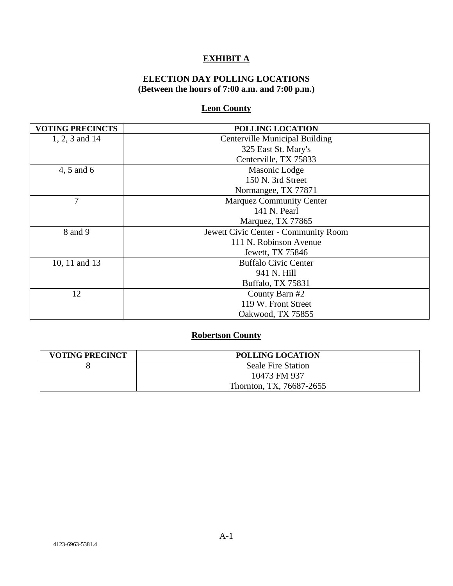# **EXHIBIT A**

## **ELECTION DAY POLLING LOCATIONS (Between the hours of 7:00 a.m. and 7:00 p.m.)**

## **Leon County**

| <b>VOTING PRECINCTS</b> | POLLING LOCATION                      |  |
|-------------------------|---------------------------------------|--|
| 1, 2, 3 and 14          | <b>Centerville Municipal Building</b> |  |
|                         | 325 East St. Mary's                   |  |
|                         | Centerville, TX 75833                 |  |
| 4, 5 and 6              | Masonic Lodge                         |  |
|                         | 150 N. 3rd Street                     |  |
|                         | Normangee, TX 77871                   |  |
| 7                       | <b>Marquez Community Center</b>       |  |
|                         | 141 N. Pearl                          |  |
|                         | Marquez, TX 77865                     |  |
| 8 and 9                 | Jewett Civic Center - Community Room  |  |
|                         | 111 N. Robinson Avenue                |  |
|                         | Jewett, TX 75846                      |  |
| 10, 11 and 13           | <b>Buffalo Civic Center</b>           |  |
|                         | 941 N. Hill                           |  |
|                         | Buffalo, TX 75831                     |  |
| 12                      | County Barn #2                        |  |
|                         | 119 W. Front Street                   |  |
|                         | Oakwood, TX 75855                     |  |

# **Robertson County**

| <b>VOTING PRECINCT</b> | <b>POLLING LOCATION</b>   |
|------------------------|---------------------------|
|                        | <b>Seale Fire Station</b> |
|                        | 10473 FM 937              |
|                        | Thornton, TX, 76687-2655  |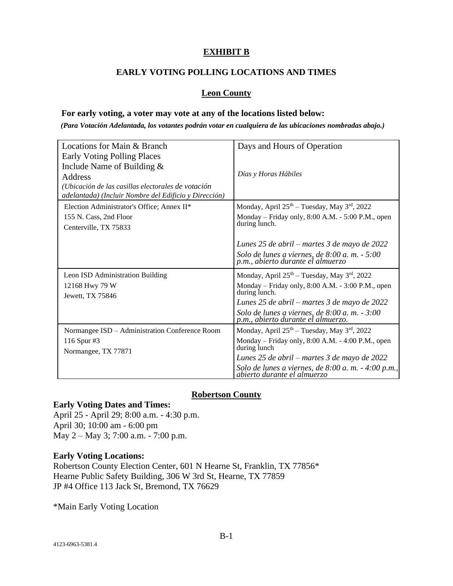## **EXHIBIT B**

### **EARLY VOTING POLLING LOCATIONS AND TIMES**

### **Leon County**

#### **For early voting, a voter may vote at any of the locations listed below:**

*(Para Votación Adelantada, los votantes podrán votar en cualquiera de las ubicaciones nombradas abajo.)*

| Locations for Main & Branch                                                                                                                                                           | Days and Hours of Operation                                                                                                          |  |
|---------------------------------------------------------------------------------------------------------------------------------------------------------------------------------------|--------------------------------------------------------------------------------------------------------------------------------------|--|
| Early Voting Polling Places<br>Include Name of Building $&$<br>Address<br>(Ubicación de las casillas electorales de votación<br>adelantada) (Incluir Nombre del Edificio y Dirección) | Días y Horas Hábiles                                                                                                                 |  |
| Election Administrator's Office; Annex II*                                                                                                                                            | Monday, April 25 <sup>th</sup> - Tuesday, May 3 <sup>rd</sup> , 2022                                                                 |  |
| 155 N. Cass, 2nd Floor<br>Centerville, TX 75833                                                                                                                                       | Monday – Friday only, 8:00 A.M. - 5:00 P.M., open<br>during lunch.                                                                   |  |
|                                                                                                                                                                                       | Lunes 25 de abril – martes 3 de mayo de 2022<br>Solo de lunes a viernes, de $8:00$ a.m. $-5:00$<br>p.m., abierto durante el almuerzo |  |
| Leon ISD Administration Building                                                                                                                                                      | Monday, April 25 <sup>th</sup> - Tuesday, May 3 <sup>rd</sup> , 2022                                                                 |  |
| 12168 Hwy 79 W                                                                                                                                                                        | Monday – Friday only, $8:00$ A.M. - $3:00$ P.M., open<br>during lunch.                                                               |  |
| Jewett, TX 75846                                                                                                                                                                      | Lunes 25 de abril – martes 3 de mayo de 2022                                                                                         |  |
|                                                                                                                                                                                       | Solo de lunes a viernes, de $8:00$ a.m. $-3:00$<br>p.m., abierto durante el almuerzo.                                                |  |
| Normangee ISD - Administration Conference Room                                                                                                                                        | Monday, April $25th - Tuesday$ , May $3rd$ , 2022                                                                                    |  |
| 116 Spur #3<br>Normangee, TX 77871                                                                                                                                                    | Monday – Friday only, 8:00 A.M. - 4:00 P.M., open<br>during lunch                                                                    |  |
|                                                                                                                                                                                       | Lunes 25 de abril – martes 3 de mayo de 2022                                                                                         |  |
|                                                                                                                                                                                       | Solo de lunes a viernes, de 8:00 a.m. - 4:00 p.m.,<br>abierto durante el almuerzo                                                    |  |

#### **Robertson County**

#### **Early Voting Dates and Times:**

April 25 - April 29; 8:00 a.m. - 4:30 p.m. April 30; 10:00 am - 6:00 pm May 2 – May 3; 7:00 a.m. - 7:00 p.m.

#### **Early Voting Locations:**

Robertson County Election Center, 601 N Hearne St, Franklin, TX 77856\* Hearne Public Safety Building, 306 W 3rd St, Hearne, TX 77859 JP #4 Office 113 Jack St, Bremond, TX 76629

\*Main Early Voting Location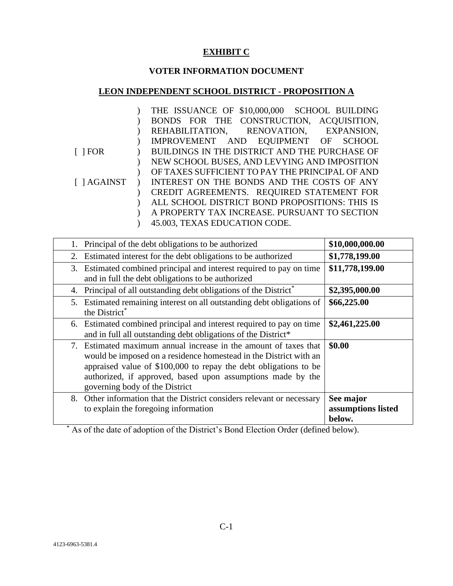## **EXHIBIT C**

# **VOTER INFORMATION DOCUMENT**

# **LEON INDEPENDENT SCHOOL DISTRICT - PROPOSITION A**

|                | THE ISSUANCE OF \$10,000,000 SCHOOL BUILDING    |
|----------------|-------------------------------------------------|
|                | BONDS FOR THE CONSTRUCTION, ACQUISITION,        |
|                | REHABILITATION, RENOVATION, EXPANSION,          |
|                | IMPROVEMENT AND EQUIPMENT OF SCHOOL             |
| $\lceil$   FOR | BUILDINGS IN THE DISTRICT AND THE PURCHASE OF   |
|                | NEW SCHOOL BUSES, AND LEVYING AND IMPOSITION    |
|                | OF TAXES SUFFICIENT TO PAY THE PRINCIPAL OF AND |
| [ ] AGAINST    | INTEREST ON THE BONDS AND THE COSTS OF ANY      |
|                | CREDIT AGREEMENTS. REQUIRED STATEMENT FOR       |
|                | ALL SCHOOL DISTRICT BOND PROPOSITIONS: THIS IS  |
|                | A PROPERTY TAX INCREASE. PURSUANT TO SECTION    |
|                | 45.003, TEXAS EDUCATION CODE.                   |

| Principal of the debt obligations to be authorized                                                                                                                                                                                                                                                         | \$10,000,000.00                           |
|------------------------------------------------------------------------------------------------------------------------------------------------------------------------------------------------------------------------------------------------------------------------------------------------------------|-------------------------------------------|
| Estimated interest for the debt obligations to be authorized<br>2.                                                                                                                                                                                                                                         | \$1,778,199.00                            |
| 3. Estimated combined principal and interest required to pay on time<br>and in full the debt obligations to be authorized                                                                                                                                                                                  | \$11,778,199.00                           |
| Principal of all outstanding debt obligations of the District <sup>*</sup><br>4.                                                                                                                                                                                                                           | \$2,395,000.00                            |
| 5. Estimated remaining interest on all outstanding debt obligations of<br>the District <sup>*</sup>                                                                                                                                                                                                        | \$66,225.00                               |
| 6. Estimated combined principal and interest required to pay on time<br>and in full all outstanding debt obligations of the District*                                                                                                                                                                      | \$2,461,225.00                            |
| 7. Estimated maximum annual increase in the amount of taxes that<br>would be imposed on a residence homestead in the District with an<br>appraised value of \$100,000 to repay the debt obligations to be<br>authorized, if approved, based upon assumptions made by the<br>governing body of the District | \$0.00                                    |
| 8. Other information that the District considers relevant or necessary<br>to explain the foregoing information                                                                                                                                                                                             | See major<br>assumptions listed<br>below. |

\* As of the date of adoption of the District's Bond Election Order (defined below).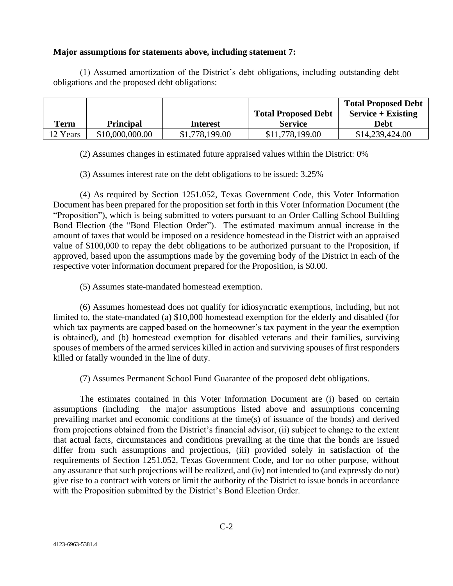### **Major assumptions for statements above, including statement 7:**

(1) Assumed amortization of the District's debt obligations, including outstanding debt obligations and the proposed debt obligations:

|          |                  |                 |                            | <b>Total Proposed Debt</b> |
|----------|------------------|-----------------|----------------------------|----------------------------|
|          |                  |                 | <b>Total Proposed Debt</b> | $Service + Existing$       |
| Term     | <b>Principal</b> | <b>Interest</b> | <b>Service</b>             | Debt                       |
| 12 Years | \$10,000,000.00  | \$1,778,199.00  | \$11,778,199.00            | \$14,239,424.00            |

(2) Assumes changes in estimated future appraised values within the District: 0%

(3) Assumes interest rate on the debt obligations to be issued: 3.25%

(4) As required by Section 1251.052, Texas Government Code, this Voter Information Document has been prepared for the proposition set forth in this Voter Information Document (the "Proposition"), which is being submitted to voters pursuant to an Order Calling School Building Bond Election (the "Bond Election Order"). The estimated maximum annual increase in the amount of taxes that would be imposed on a residence homestead in the District with an appraised value of \$100,000 to repay the debt obligations to be authorized pursuant to the Proposition, if approved, based upon the assumptions made by the governing body of the District in each of the respective voter information document prepared for the Proposition, is \$0.00.

(5) Assumes state-mandated homestead exemption.

(6) Assumes homestead does not qualify for idiosyncratic exemptions, including, but not limited to, the state-mandated (a) \$10,000 homestead exemption for the elderly and disabled (for which tax payments are capped based on the homeowner's tax payment in the year the exemption is obtained), and (b) homestead exemption for disabled veterans and their families, surviving spouses of members of the armed services killed in action and surviving spouses of first responders killed or fatally wounded in the line of duty.

(7) Assumes Permanent School Fund Guarantee of the proposed debt obligations.

The estimates contained in this Voter Information Document are (i) based on certain assumptions (including the major assumptions listed above and assumptions concerning prevailing market and economic conditions at the time(s) of issuance of the bonds) and derived from projections obtained from the District's financial advisor, (ii) subject to change to the extent that actual facts, circumstances and conditions prevailing at the time that the bonds are issued differ from such assumptions and projections, (iii) provided solely in satisfaction of the requirements of Section 1251.052, Texas Government Code, and for no other purpose, without any assurance that such projections will be realized, and (iv) not intended to (and expressly do not) give rise to a contract with voters or limit the authority of the District to issue bonds in accordance with the Proposition submitted by the District's Bond Election Order.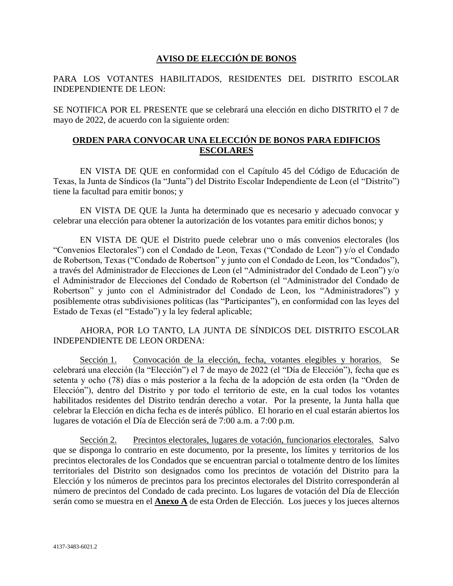## **AVISO DE ELECCIÓN DE BONOS**

### PARA LOS VOTANTES HABILITADOS, RESIDENTES DEL DISTRITO ESCOLAR INDEPENDIENTE DE LEON:

SE NOTIFICA POR EL PRESENTE que se celebrará una elección en dicho DISTRITO el 7 de mayo de 2022, de acuerdo con la siguiente orden:

## **ORDEN PARA CONVOCAR UNA ELECCIÓN DE BONOS PARA EDIFICIOS ESCOLARES**

EN VISTA DE QUE en conformidad con el Capítulo 45 del Código de Educación de Texas, la Junta de Síndicos (la "Junta") del Distrito Escolar Independiente de Leon (el "Distrito") tiene la facultad para emitir bonos; y

EN VISTA DE QUE la Junta ha determinado que es necesario y adecuado convocar y celebrar una elección para obtener la autorización de los votantes para emitir dichos bonos; y

EN VISTA DE QUE el Distrito puede celebrar uno o más convenios electorales (los "Convenios Electorales") con el Condado de Leon, Texas ("Condado de Leon") y/o el Condado de Robertson, Texas ("Condado de Robertson" y junto con el Condado de Leon, los "Condados"), a través del Administrador de Elecciones de Leon (el "Administrador del Condado de Leon") y/o el Administrador de Elecciones del Condado de Robertson (el "Administrador del Condado de Robertson" y junto con el Administrador del Condado de Leon, los "Administradores") y posiblemente otras subdivisiones políticas (las "Participantes"), en conformidad con las leyes del Estado de Texas (el "Estado") y la ley federal aplicable;

### AHORA, POR LO TANTO, LA JUNTA DE SÍNDICOS DEL DISTRITO ESCOLAR INDEPENDIENTE DE LEON ORDENA:

Sección 1. Convocación de la elección, fecha, votantes elegibles y horarios. Se celebrará una elección (la "Elección") el 7 de mayo de 2022 (el "Día de Elección"), fecha que es setenta y ocho (78) días o más posterior a la fecha de la adopción de esta orden (la "Orden de Elección"), dentro del Distrito y por todo el territorio de este, en la cual todos los votantes habilitados residentes del Distrito tendrán derecho a votar. Por la presente, la Junta halla que celebrar la Elección en dicha fecha es de interés público. El horario en el cual estarán abiertos los lugares de votación el Día de Elección será de 7:00 a.m. a 7:00 p.m.

Sección 2. Precintos electorales, lugares de votación, funcionarios electorales. Salvo que se disponga lo contrario en este documento, por la presente, los límites y territorios de los precintos electorales de los Condados que se encuentran parcial o totalmente dentro de los límites territoriales del Distrito son designados como los precintos de votación del Distrito para la Elección y los números de precintos para los precintos electorales del Distrito corresponderán al número de precintos del Condado de cada precinto. Los lugares de votación del Día de Elección serán como se muestra en el **Anexo A** de esta Orden de Elección. Los jueces y los jueces alternos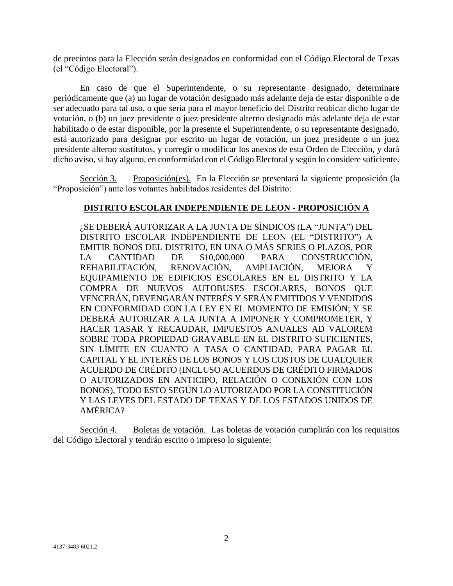de precintos para la Elección serán designados en conformidad con el Código Electoral de Texas (el "Código Electoral").

En caso de que el Superintendente, o su representante designado, determinare periódicamente que (a) un lugar de votación designado más adelante deja de estar disponible o de ser adecuado para tal uso, o que sería para el mayor beneficio del Distrito reubicar dicho lugar de votación, o (b) un juez presidente o juez presidente alterno designado más adelante deja de estar habilitado o de estar disponible, por la presente el Superintendente, o su representante designado, está autorizado para designar por escrito un lugar de votación, un juez presidente o un juez presidente alterno sustitutos, y corregir o modificar los anexos de esta Orden de Elección, y dará dicho aviso, si hay alguno, en conformidad con el Código Electoral y según lo considere suficiente.

Sección 3. Proposición(es). En la Elección se presentará la siguiente proposición (la "Proposición") ante los votantes habilitados residentes del Distrito:

### **DISTRITO ESCOLAR INDEPENDIENTE DE LEON - PROPOSICIÓN A**

¿SE DEBERÁ AUTORIZAR A LA JUNTA DE SÍNDICOS (LA "JUNTA") DEL DISTRITO ESCOLAR INDEPENDIENTE DE LEON (EL "DISTRITO") A EMITIR BONOS DEL DISTRITO, EN UNA O MÁS SERIES O PLAZOS, POR LA CANTIDAD DE \$10,000,000 PARA CONSTRUCCIÓN, REHABILITACIÓN, RENOVACIÓN, AMPLIACIÓN, MEJORA Y EQUIPAMIENTO DE EDIFICIOS ESCOLARES EN EL DISTRITO Y LA COMPRA DE NUEVOS AUTOBUSES ESCOLARES, BONOS QUE VENCERÁN, DEVENGARÁN INTERÉS Y SERÁN EMITIDOS Y VENDIDOS EN CONFORMIDAD CON LA LEY EN EL MOMENTO DE EMISIÓN; Y SE DEBERÁ AUTORIZAR A LA JUNTA A IMPONER Y COMPROMETER, Y HACER TASAR Y RECAUDAR, IMPUESTOS ANUALES AD VALOREM SOBRE TODA PROPIEDAD GRAVABLE EN EL DISTRITO SUFICIENTES, SIN LÍMITE EN CUANTO A TASA O CANTIDAD, PARA PAGAR EL CAPITAL Y EL INTERÉS DE LOS BONOS Y LOS COSTOS DE CUALQUIER ACUERDO DE CRÉDITO (INCLUSO ACUERDOS DE CRÉDITO FIRMADOS O AUTORIZADOS EN ANTICIPO, RELACIÓN O CONEXIÓN CON LOS BONOS), TODO ESTO SEGÚN LO AUTORIZADO POR LA CONSTITUCIÓN Y LAS LEYES DEL ESTADO DE TEXAS Y DE LOS ESTADOS UNIDOS DE AMÉRICA?

Sección 4. Boletas de votación. Las boletas de votación cumplirán con los requisitos del Código Electoral y tendrán escrito o impreso lo siguiente: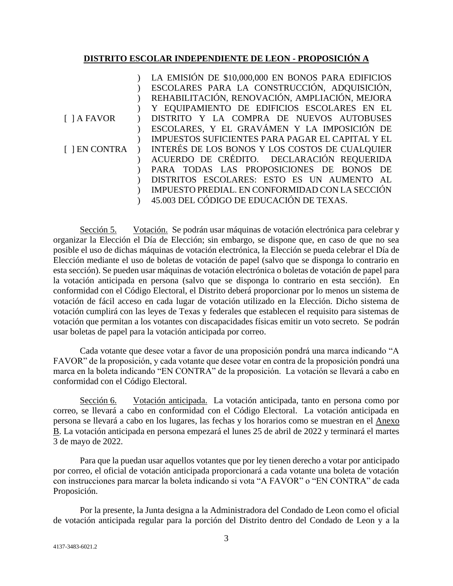### **DISTRITO ESCOLAR INDEPENDIENTE DE LEON - PROPOSICIÓN A**

[ ] A FAVOR [ ] EN CONTRA  $\mathcal{L}$  $\mathcal{L}$  $\mathcal{L}$  $\mathcal{L}$  $\mathcal{L}$  $\mathcal{L}$  $\mathcal{L}$  $\mathcal{L}$  $\mathcal{L}$  $\mathcal{L}$  $\mathcal{L}$  $)$  $\mathcal{L}$ LA EMISIÓN DE \$10,000,000 EN BONOS PARA EDIFICIOS ESCOLARES PARA LA CONSTRUCCIÓN, ADQUISICIÓN, REHABILITACIÓN, RENOVACIÓN, AMPLIACIÓN, MEJORA Y EQUIPAMIENTO DE EDIFICIOS ESCOLARES EN EL DISTRITO Y LA COMPRA DE NUEVOS AUTOBUSES ESCOLARES, Y EL GRAVÁMEN Y LA IMPOSICIÓN DE IMPUESTOS SUFICIENTES PARA PAGAR EL CAPITAL Y EL INTERÉS DE LOS BONOS Y LOS COSTOS DE CUALQUIER ACUERDO DE CRÉDITO. DECLARACIÓN REQUERIDA PARA TODAS LAS PROPOSICIONES DE BONOS DE DISTRITOS ESCOLARES: ESTO ES UN AUMENTO AL IMPUESTO PREDIAL. EN CONFORMIDAD CON LA SECCIÓN 45.003 DEL CÓDIGO DE EDUCACIÓN DE TEXAS.

Sección 5. Votación. Se podrán usar máquinas de votación electrónica para celebrar y organizar la Elección el Día de Elección; sin embargo, se dispone que, en caso de que no sea posible el uso de dichas máquinas de votación electrónica, la Elección se pueda celebrar el Día de Elección mediante el uso de boletas de votación de papel (salvo que se disponga lo contrario en esta sección). Se pueden usar máquinas de votación electrónica o boletas de votación de papel para la votación anticipada en persona (salvo que se disponga lo contrario en esta sección). En conformidad con el Código Electoral, el Distrito deberá proporcionar por lo menos un sistema de votación de fácil acceso en cada lugar de votación utilizado en la Elección. Dicho sistema de votación cumplirá con las leyes de Texas y federales que establecen el requisito para sistemas de votación que permitan a los votantes con discapacidades físicas emitir un voto secreto. Se podrán usar boletas de papel para la votación anticipada por correo.

Cada votante que desee votar a favor de una proposición pondrá una marca indicando "A FAVOR" de la proposición, y cada votante que desee votar en contra de la proposición pondrá una marca en la boleta indicando "EN CONTRA" de la proposición. La votación se llevará a cabo en conformidad con el Código Electoral.

Sección 6. Votación anticipada. La votación anticipada, tanto en persona como por correo, se llevará a cabo en conformidad con el Código Electoral. La votación anticipada en persona se llevará a cabo en los lugares, las fechas y los horarios como se muestran en el Anexo B. La votación anticipada en persona empezará el lunes 25 de abril de 2022 y terminará el martes 3 de mayo de 2022.

Para que la puedan usar aquellos votantes que por ley tienen derecho a votar por anticipado por correo, el oficial de votación anticipada proporcionará a cada votante una boleta de votación con instrucciones para marcar la boleta indicando si vota "A FAVOR" o "EN CONTRA" de cada Proposición.

Por la presente, la Junta designa a la Administradora del Condado de Leon como el oficial de votación anticipada regular para la porción del Distrito dentro del Condado de Leon y a la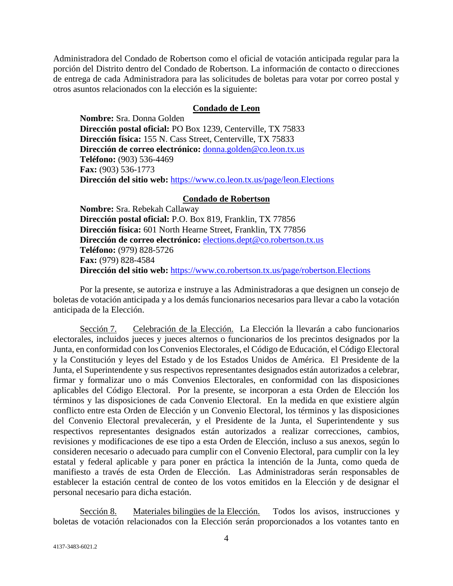Administradora del Condado de Robertson como el oficial de votación anticipada regular para la porción del Distrito dentro del Condado de Robertson. La información de contacto o direcciones de entrega de cada Administradora para las solicitudes de boletas para votar por correo postal y otros asuntos relacionados con la elección es la siguiente:

#### **Condado de Leon**

**Nombre:** Sra. Donna Golden **Dirección postal oficial:** PO Box 1239, Centerville, TX 75833 **Dirección física:** 155 N. Cass Street, Centerville, TX 75833 **Dirección de correo electrónico:** [donna.golden@co.leon.tx.us](mailto:donna.golden@co.leon.tx.us)  **Teléfono:** (903) 536-4469 **Fax:** (903) 536-1773 **Dirección del sitio web:** <https://www.co.leon.tx.us/page/leon.Elections>

#### **Condado de Robertson**

**Nombre:** Sra. Rebekah Callaway **Dirección postal oficial:** P.O. Box 819, Franklin, TX 77856 **Dirección física:** 601 North Hearne Street, Franklin, TX 77856 **Dirección de correo electrónico:** [elections.dept@co.robertson.tx.us](mailto:elections.dept@co.robertson.tx.us) **Teléfono:** (979) 828-5726 **Fax:** (979) 828-4584 **Dirección del sitio web:** <https://www.co.robertson.tx.us/page/robertson.Elections>

Por la presente, se autoriza e instruye a las Administradoras a que designen un consejo de boletas de votación anticipada y a los demás funcionarios necesarios para llevar a cabo la votación anticipada de la Elección.

Sección 7. Celebración de la Elección. La Elección la llevarán a cabo funcionarios electorales, incluidos jueces y jueces alternos o funcionarios de los precintos designados por la Junta, en conformidad con los Convenios Electorales, el Código de Educación, el Código Electoral y la Constitución y leyes del Estado y de los Estados Unidos de América. El Presidente de la Junta, el Superintendente y sus respectivos representantes designados están autorizados a celebrar, firmar y formalizar uno o más Convenios Electorales, en conformidad con las disposiciones aplicables del Código Electoral. Por la presente, se incorporan a esta Orden de Elección los términos y las disposiciones de cada Convenio Electoral. En la medida en que existiere algún conflicto entre esta Orden de Elección y un Convenio Electoral, los términos y las disposiciones del Convenio Electoral prevalecerán, y el Presidente de la Junta, el Superintendente y sus respectivos representantes designados están autorizados a realizar correcciones, cambios, revisiones y modificaciones de ese tipo a esta Orden de Elección, incluso a sus anexos, según lo consideren necesario o adecuado para cumplir con el Convenio Electoral, para cumplir con la ley estatal y federal aplicable y para poner en práctica la intención de la Junta, como queda de manifiesto a través de esta Orden de Elección. Las Administradoras serán responsables de establecer la estación central de conteo de los votos emitidos en la Elección y de designar el personal necesario para dicha estación.

Sección 8. Materiales bilingües de la Elección. Todos los avisos, instrucciones y boletas de votación relacionados con la Elección serán proporcionados a los votantes tanto en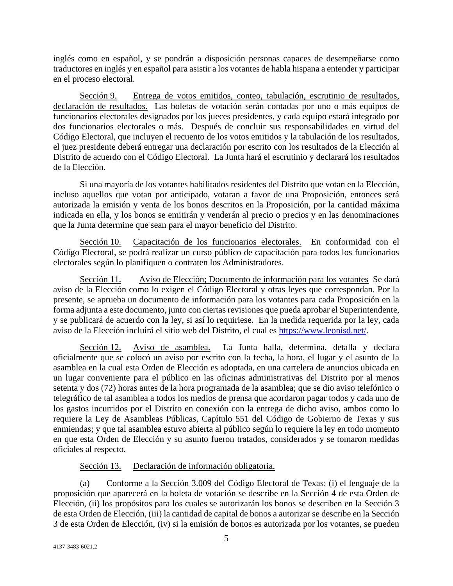inglés como en español, y se pondrán a disposición personas capaces de desempeñarse como traductores en inglés y en español para asistir a los votantes de habla hispana a entender y participar en el proceso electoral.

Sección 9. Entrega de votos emitidos, conteo, tabulación, escrutinio de resultados, declaración de resultados. Las boletas de votación serán contadas por uno o más equipos de funcionarios electorales designados por los jueces presidentes, y cada equipo estará integrado por dos funcionarios electorales o más. Después de concluir sus responsabilidades en virtud del Código Electoral, que incluyen el recuento de los votos emitidos y la tabulación de los resultados, el juez presidente deberá entregar una declaración por escrito con los resultados de la Elección al Distrito de acuerdo con el Código Electoral. La Junta hará el escrutinio y declarará los resultados de la Elección.

Si una mayoría de los votantes habilitados residentes del Distrito que votan en la Elección, incluso aquellos que votan por anticipado, votaran a favor de una Proposición, entonces será autorizada la emisión y venta de los bonos descritos en la Proposición, por la cantidad máxima indicada en ella, y los bonos se emitirán y venderán al precio o precios y en las denominaciones que la Junta determine que sean para el mayor beneficio del Distrito.

Sección 10. Capacitación de los funcionarios electorales. En conformidad con el Código Electoral, se podrá realizar un curso público de capacitación para todos los funcionarios electorales según lo planifiquen o contraten los Administradores.

Sección 11. Aviso de Elección; Documento de información para los votantes Se dará aviso de la Elección como lo exigen el Código Electoral y otras leyes que correspondan. Por la presente, se aprueba un documento de información para los votantes para cada Proposición en la forma adjunta a este documento, junto con ciertas revisiones que pueda aprobar el Superintendente, y se publicará de acuerdo con la ley, si así lo requiriese. En la medida requerida por la ley, cada aviso de la Elección incluirá el sitio web del Distrito, el cual es [https://www.leonisd.net/.](https://www.leonisd.net/)

Sección 12. Aviso de asamblea. La Junta halla, determina, detalla y declara oficialmente que se colocó un aviso por escrito con la fecha, la hora, el lugar y el asunto de la asamblea en la cual esta Orden de Elección es adoptada, en una cartelera de anuncios ubicada en un lugar conveniente para el público en las oficinas administrativas del Distrito por al menos setenta y dos (72) horas antes de la hora programada de la asamblea; que se dio aviso telefónico o telegráfico de tal asamblea a todos los medios de prensa que acordaron pagar todos y cada uno de los gastos incurridos por el Distrito en conexión con la entrega de dicho aviso, ambos como lo requiere la Ley de Asambleas Públicas, Capítulo 551 del Código de Gobierno de Texas y sus enmiendas; y que tal asamblea estuvo abierta al público según lo requiere la ley en todo momento en que esta Orden de Elección y su asunto fueron tratados, considerados y se tomaron medidas oficiales al respecto.

Sección 13. Declaración de información obligatoria.

(a) Conforme a la Sección 3.009 del Código Electoral de Texas: (i) el lenguaje de la proposición que aparecerá en la boleta de votación se describe en la Sección 4 de esta Orden de Elección, (ii) los propósitos para los cuales se autorizarán los bonos se describen en la Sección 3 de esta Orden de Elección, (iii) la cantidad de capital de bonos a autorizar se describe en la Sección 3 de esta Orden de Elección, (iv) si la emisión de bonos es autorizada por los votantes, se pueden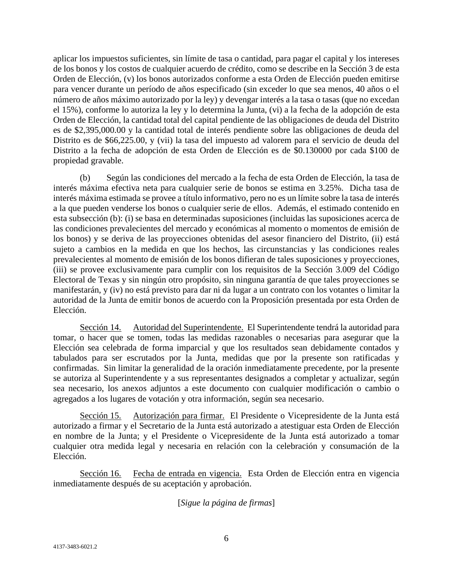aplicar los impuestos suficientes, sin límite de tasa o cantidad, para pagar el capital y los intereses de los bonos y los costos de cualquier acuerdo de crédito, como se describe en la Sección 3 de esta Orden de Elección, (v) los bonos autorizados conforme a esta Orden de Elección pueden emitirse para vencer durante un período de años especificado (sin exceder lo que sea menos, 40 años o el número de años máximo autorizado por la ley) y devengar interés a la tasa o tasas (que no excedan el 15%), conforme lo autoriza la ley y lo determina la Junta, (vi) a la fecha de la adopción de esta Orden de Elección, la cantidad total del capital pendiente de las obligaciones de deuda del Distrito es de \$2,395,000.00 y la cantidad total de interés pendiente sobre las obligaciones de deuda del Distrito es de \$66,225.00, y (vii) la tasa del impuesto ad valorem para el servicio de deuda del Distrito a la fecha de adopción de esta Orden de Elección es de \$0.130000 por cada \$100 de propiedad gravable.

(b) Según las condiciones del mercado a la fecha de esta Orden de Elección, la tasa de interés máxima efectiva neta para cualquier serie de bonos se estima en 3.25%. Dicha tasa de interés máxima estimada se provee a título informativo, pero no es un límite sobre la tasa de interés a la que pueden venderse los bonos o cualquier serie de ellos. Además, el estimado contenido en esta subsección (b): (i) se basa en determinadas suposiciones (incluidas las suposiciones acerca de las condiciones prevalecientes del mercado y económicas al momento o momentos de emisión de los bonos) y se deriva de las proyecciones obtenidas del asesor financiero del Distrito, (ii) está sujeto a cambios en la medida en que los hechos, las circunstancias y las condiciones reales prevalecientes al momento de emisión de los bonos difieran de tales suposiciones y proyecciones, (iii) se provee exclusivamente para cumplir con los requisitos de la Sección 3.009 del Código Electoral de Texas y sin ningún otro propósito, sin ninguna garantía de que tales proyecciones se manifestarán, y (iv) no está previsto para dar ni da lugar a un contrato con los votantes o limitar la autoridad de la Junta de emitir bonos de acuerdo con la Proposición presentada por esta Orden de Elección.

Sección 14. Autoridad del Superintendente. El Superintendente tendrá la autoridad para tomar, o hacer que se tomen, todas las medidas razonables o necesarias para asegurar que la Elección sea celebrada de forma imparcial y que los resultados sean debidamente contados y tabulados para ser escrutados por la Junta, medidas que por la presente son ratificadas y confirmadas. Sin limitar la generalidad de la oración inmediatamente precedente, por la presente se autoriza al Superintendente y a sus representantes designados a completar y actualizar, según sea necesario, los anexos adjuntos a este documento con cualquier modificación o cambio o agregados a los lugares de votación y otra información, según sea necesario.

Sección 15. Autorización para firmar. El Presidente o Vicepresidente de la Junta está autorizado a firmar y el Secretario de la Junta está autorizado a atestiguar esta Orden de Elección en nombre de la Junta; y el Presidente o Vicepresidente de la Junta está autorizado a tomar cualquier otra medida legal y necesaria en relación con la celebración y consumación de la Elección.

Sección 16. Fecha de entrada en vigencia. Esta Orden de Elección entra en vigencia inmediatamente después de su aceptación y aprobación.

## [*Sigue la página de firmas*]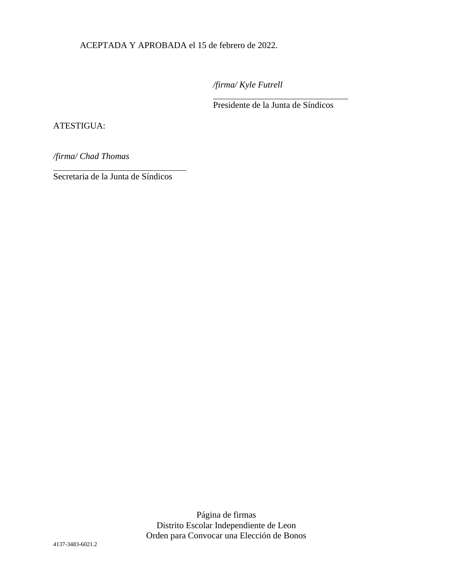ACEPTADA Y APROBADA el 15 de febrero de 2022.

*/firma/ Kyle Futrell*

 $\overline{a}$ 

Presidente de la Junta de Síndicos

### ATESTIGUA:

l

*/firma/ Chad Thomas*

Secretaria de la Junta de Síndicos

Página de firmas Distrito Escolar Independiente de Leon Orden para Convocar una Elección de Bonos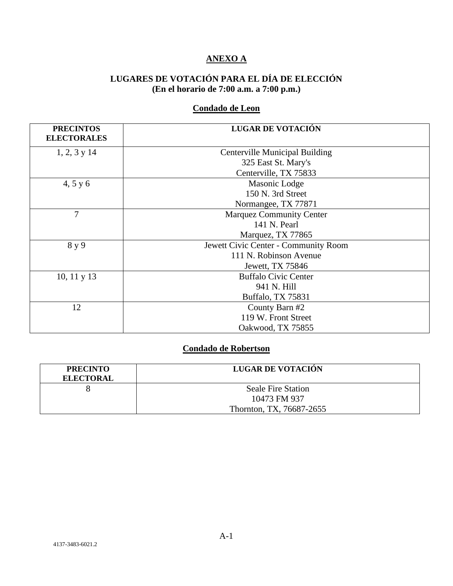# **ANEXO A**

# **LUGARES DE VOTACIÓN PARA EL DÍA DE ELECCIÓN (En el horario de 7:00 a.m. a 7:00 p.m.)**

# **Condado de Leon**

| <b>PRECINTOS</b><br><b>ELECTORALES</b> | LUGAR DE VOTACIÓN                     |
|----------------------------------------|---------------------------------------|
| $1, 2, 3$ y 14                         | <b>Centerville Municipal Building</b> |
|                                        | 325 East St. Mary's                   |
|                                        |                                       |
|                                        | Centerville, TX 75833                 |
| 4, 5 y 6                               | Masonic Lodge                         |
|                                        | 150 N. 3rd Street                     |
|                                        | Normangee, TX 77871                   |
| 7                                      | <b>Marquez Community Center</b>       |
|                                        | 141 N. Pearl                          |
|                                        | Marquez, TX 77865                     |
| 8 y 9                                  | Jewett Civic Center - Community Room  |
|                                        | 111 N. Robinson Avenue                |
|                                        | Jewett, TX 75846                      |
| $10, 11$ y $13$                        | <b>Buffalo Civic Center</b>           |
|                                        | 941 N. Hill                           |
|                                        | Buffalo, TX 75831                     |
| 12                                     | County Barn #2                        |
|                                        | 119 W. Front Street                   |
|                                        | Oakwood, TX 75855                     |

## **Condado de Robertson**

| <b>PRECINTO</b><br><b>ELECTORAL</b> | LUGAR DE VOTACIÓN         |
|-------------------------------------|---------------------------|
|                                     | <b>Seale Fire Station</b> |
|                                     | 10473 FM 937              |
|                                     | Thornton, TX, 76687-2655  |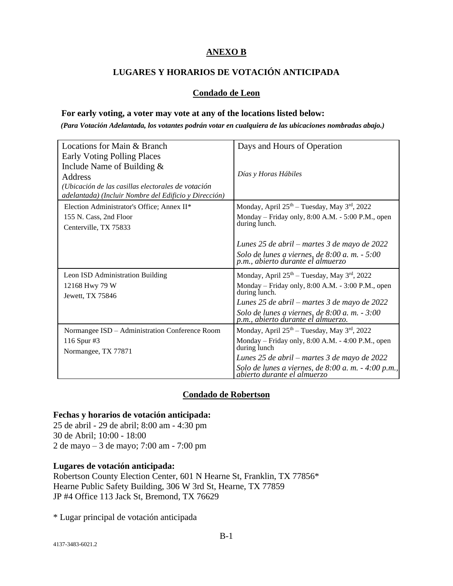## **ANEXO B**

# **LUGARES Y HORARIOS DE VOTACIÓN ANTICIPADA**

### **Condado de Leon**

#### **For early voting, a voter may vote at any of the locations listed below:**

*(Para Votación Adelantada, los votantes podrán votar en cualquiera de las ubicaciones nombradas abajo.)*

| Locations for Main & Branch                                 | Days and Hours of Operation                                                           |  |
|-------------------------------------------------------------|---------------------------------------------------------------------------------------|--|
| Early Voting Polling Places<br>Include Name of Building $&$ |                                                                                       |  |
| Address                                                     | Días y Horas Hábiles                                                                  |  |
| (Ubicación de las casillas electorales de votación          |                                                                                       |  |
| adelantada) (Incluir Nombre del Edificio y Dirección)       |                                                                                       |  |
| Election Administrator's Office; Annex II*                  | Monday, April 25 <sup>th</sup> - Tuesday, May 3 <sup>rd</sup> , 2022                  |  |
| 155 N. Cass, 2nd Floor                                      | Monday – Friday only, $8:00$ A.M. - $5:00$ P.M., open                                 |  |
| Centerville, TX 75833                                       | during lunch.                                                                         |  |
|                                                             | Lunes 25 de abril – martes 3 de mayo de 2022                                          |  |
|                                                             | Solo de lunes a viernes, de $8:00$ a.m. $-5:00$<br>p.m., abierto durante el almuerzo  |  |
| Leon ISD Administration Building                            | Monday, April 25 <sup>th</sup> - Tuesday, May 3 <sup>rd</sup> , 2022                  |  |
| 12168 Hwy 79 W<br>Jewett, TX 75846                          | Monday – Friday only, $8:00$ A.M. - $3:00$ P.M., open<br>during lunch.                |  |
|                                                             | Lunes 25 de abril – martes 3 de mayo de 2022                                          |  |
|                                                             | Solo de lunes a viernes, de $8:00$ a.m. $-3:00$<br>p.m., abierto durante el almuerzo. |  |
| Normangee ISD - Administration Conference Room              | Monday, April 25 <sup>th</sup> - Tuesday, May 3 <sup>rd</sup> , 2022                  |  |
| 116 Spur #3<br>Normangee, TX 77871                          | Monday – Friday only, 8:00 A.M. - 4:00 P.M., open<br>during lunch                     |  |
|                                                             | Lunes 25 de abril – martes 3 de mayo de 2022                                          |  |
|                                                             | Solo de lunes a viernes, de 8:00 a. m. - 4:00 p.m., abierto durante el almuerzo       |  |

## **Condado de Robertson**

### **Fechas y horarios de votación anticipada:**

25 de abril - 29 de abril; 8:00 am - 4:30 pm 30 de Abril; 10:00 - 18:00 2 de mayo – 3 de mayo; 7:00 am - 7:00 pm

### **Lugares de votación anticipada:**

Robertson County Election Center, 601 N Hearne St, Franklin, TX 77856\* Hearne Public Safety Building, 306 W 3rd St, Hearne, TX 77859 JP #4 Office 113 Jack St, Bremond, TX 76629

\* Lugar principal de votación anticipada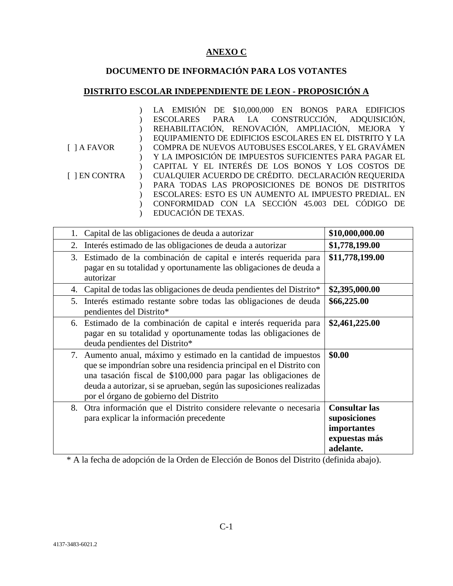# **ANEXO C**

# **DOCUMENTO DE INFORMACIÓN PARA LOS VOTANTES**

# **DISTRITO ESCOLAR INDEPENDIENTE DE LEON - PROPOSICIÓN A**

|                    | LA EMISIÓN DE \$10,000,000 EN BONOS PARA EDIFICIOS      |
|--------------------|---------------------------------------------------------|
|                    | ESCOLARES PARA LA CONSTRUCCIÓN, ADQUISICIÓN,            |
|                    | REHABILITACIÓN, RENOVACIÓN, AMPLIACIÓN, MEJORA Y        |
|                    | EQUIPAMIENTO DE EDIFICIOS ESCOLARES EN EL DISTRITO Y LA |
| $\lceil$   A FAVOR | COMPRA DE NUEVOS AUTOBUSES ESCOLARES, Y EL GRAVÁMEN     |
|                    | Y LA IMPOSICIÓN DE IMPUESTOS SUFICIENTES PARA PAGAR EL  |
|                    | CAPITAL Y EL INTERÉS DE LOS BONOS Y LOS COSTOS DE       |
| [ ] EN CONTRA      | CUALQUIER ACUERDO DE CRÉDITO. DECLARACIÓN REQUERIDA     |
|                    | PARA TODAS LAS PROPOSICIONES DE BONOS DE DISTRITOS      |
|                    | ESCOLARES: ESTO ES UN AUMENTO AL IMPUESTO PREDIAL. EN   |
|                    | CONFORMIDAD CON LA SECCIÓN 45.003 DEL CÓDIGO DE         |
|                    | EDUCACIÓN DE TEXAS.                                     |

| Capital de las obligaciones de deuda a autorizar<br>1.                                                                                                                                                                                                                                                                         | \$10,000,000.00                                                                   |
|--------------------------------------------------------------------------------------------------------------------------------------------------------------------------------------------------------------------------------------------------------------------------------------------------------------------------------|-----------------------------------------------------------------------------------|
| Interés estimado de las obligaciones de deuda a autorizar<br>2.                                                                                                                                                                                                                                                                | \$1,778,199.00                                                                    |
| Estimado de la combinación de capital e interés requerida para<br>3.<br>pagar en su totalidad y oportunamente las obligaciones de deuda a<br>autorizar                                                                                                                                                                         | \$11,778,199.00                                                                   |
| Capital de todas las obligaciones de deuda pendientes del Distrito*<br>4.                                                                                                                                                                                                                                                      | \$2,395,000.00                                                                    |
| Interés estimado restante sobre todas las obligaciones de deuda<br>5.<br>pendientes del Distrito*                                                                                                                                                                                                                              | \$66,225.00                                                                       |
| 6. Estimado de la combinación de capital e interés requerida para<br>pagar en su totalidad y oportunamente todas las obligaciones de<br>deuda pendientes del Distrito*                                                                                                                                                         | \$2,461,225.00                                                                    |
| Aumento anual, máximo y estimado en la cantidad de impuestos<br>7.<br>que se impondrían sobre una residencia principal en el Distrito con<br>una tasación fiscal de \$100,000 para pagar las obligaciones de<br>deuda a autorizar, si se aprueban, según las suposiciones realizadas<br>por el órgano de gobierno del Distrito | \$0.00                                                                            |
| Otra información que el Distrito considere relevante o necesaria<br>8.<br>para explicar la información precedente                                                                                                                                                                                                              | <b>Consultar las</b><br>suposiciones<br>importantes<br>expuestas más<br>adelante. |

\* A la fecha de adopción de la Orden de Elección de Bonos del Distrito (definida abajo).